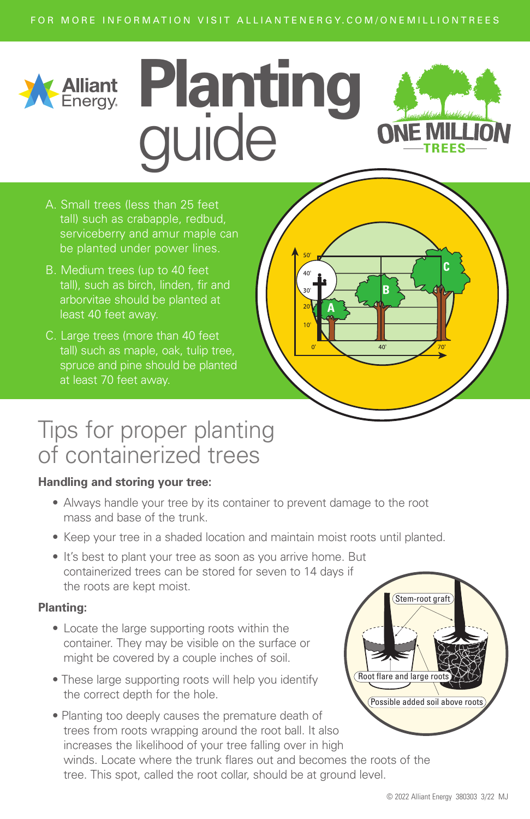# **Planting**  guide

- A. Small trees (less than 25 feet tall) such as crabapple, redbud, be planted under power lines.
- B. Medium trees (up to 40 feet tall), such as birch, linden, fir and arborvitae should be planted at least 40 feet away.
- C. Large trees (more than 40 feet tall) such as maple, oak, tulip tree, spruce and pine should be planted at least 70 feet away.

## Tips for proper planting of containerized trees

#### **Handling and storing your tree:**

- Always handle your tree by its container to prevent damage to the root mass and base of the trunk.
- Keep your tree in a shaded location and maintain moist roots until planted.
- It's best to plant your tree as soon as you arrive home. But containerized trees can be stored for seven to 14 days if the roots are kept moist.

#### **Planting:**

- Locate the large supporting roots within the container. They may be visible on the surface or might be covered by a couple inches of soil.
- These large supporting roots will help you identify the correct depth for the hole.
- Planting too deeply causes the premature death of trees from roots wrapping around the root ball. It also increases the likelihood of your tree falling over in high winds. Locate where the trunk flares out and becomes the roots of the tree. This spot, called the root collar, should be at ground level.